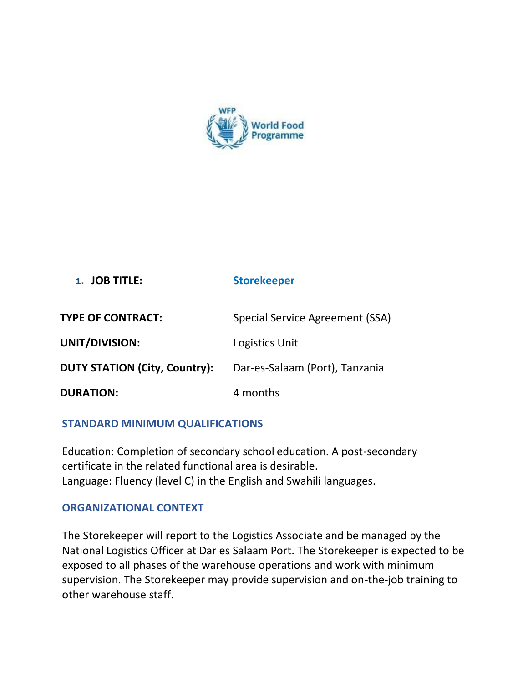

# **1. JOB TITLE: Storekeeper**

| <b>TYPE OF CONTRACT:</b>             | Special Service Agreement (SSA) |
|--------------------------------------|---------------------------------|
| UNIT/DIVISION:                       | Logistics Unit                  |
| <b>DUTY STATION (City, Country):</b> | Dar-es-Salaam (Port), Tanzania  |
| <b>DURATION:</b>                     | 4 months                        |

# **STANDARD MINIMUM QUALIFICATIONS**

Education: Completion of secondary school education. A post-secondary certificate in the related functional area is desirable. Language: Fluency (level C) in the English and Swahili languages.

# **ORGANIZATIONAL CONTEXT**

The Storekeeper will report to the Logistics Associate and be managed by the National Logistics Officer at Dar es Salaam Port. The Storekeeper is expected to be exposed to all phases of the warehouse operations and work with minimum supervision. The Storekeeper may provide supervision and on-the-job training to other warehouse staff.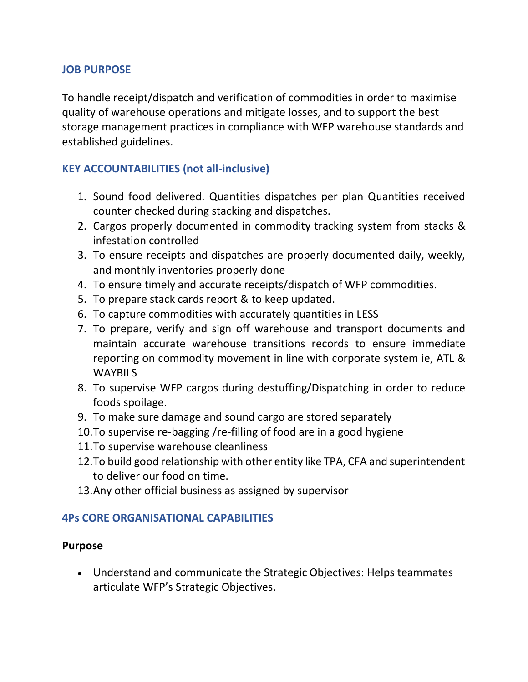# **JOB PURPOSE**

To handle receipt/dispatch and verification of commodities in order to maximise quality of warehouse operations and mitigate losses, and to support the best storage management practices in compliance with WFP warehouse standards and established guidelines.

# **KEY ACCOUNTABILITIES (not all-inclusive)**

- 1. Sound food delivered. Quantities dispatches per plan Quantities received counter checked during stacking and dispatches.
- 2. Cargos properly documented in commodity tracking system from stacks & infestation controlled
- 3. To ensure receipts and dispatches are properly documented daily, weekly, and monthly inventories properly done
- 4. To ensure timely and accurate receipts/dispatch of WFP commodities.
- 5. To prepare stack cards report & to keep updated.
- 6. To capture commodities with accurately quantities in LESS
- 7. To prepare, verify and sign off warehouse and transport documents and maintain accurate warehouse transitions records to ensure immediate reporting on commodity movement in line with corporate system ie, ATL & WAYBILS
- 8. To supervise WFP cargos during destuffing/Dispatching in order to reduce foods spoilage.
- 9. To make sure damage and sound cargo are stored separately
- 10.To supervise re-bagging /re-filling of food are in a good hygiene
- 11.To supervise warehouse cleanliness
- 12.To build good relationship with other entity like TPA, CFA and superintendent to deliver our food on time.
- 13.Any other official business as assigned by supervisor

# **4Ps CORE ORGANISATIONAL CAPABILITIES**

# **Purpose**

• Understand and communicate the Strategic Objectives: Helps teammates articulate WFP's Strategic Objectives.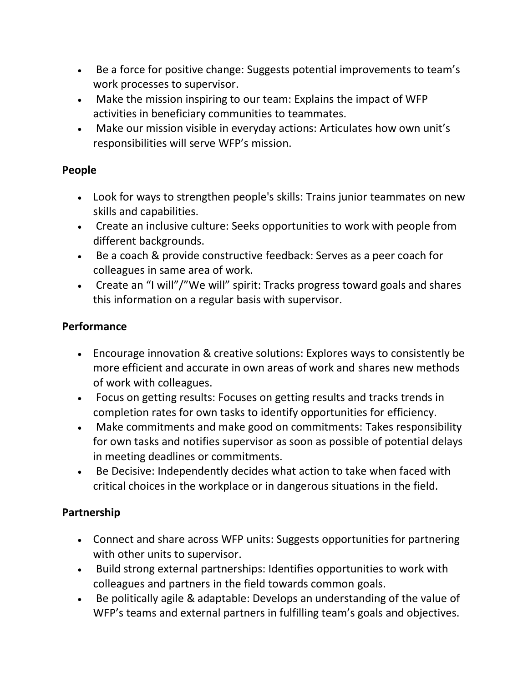- Be a force for positive change: Suggests potential improvements to team's work processes to supervisor.
- Make the mission inspiring to our team: Explains the impact of WFP activities in beneficiary communities to teammates.
- Make our mission visible in everyday actions: Articulates how own unit's responsibilities will serve WFP's mission.

# **People**

- Look for ways to strengthen people's skills: Trains junior teammates on new skills and capabilities.
- Create an inclusive culture: Seeks opportunities to work with people from different backgrounds.
- Be a coach & provide constructive feedback: Serves as a peer coach for colleagues in same area of work.
- Create an "I will"/"We will" spirit: Tracks progress toward goals and shares this information on a regular basis with supervisor.

# **Performance**

- Encourage innovation & creative solutions: Explores ways to consistently be more efficient and accurate in own areas of work and shares new methods of work with colleagues.
- Focus on getting results: Focuses on getting results and tracks trends in completion rates for own tasks to identify opportunities for efficiency.
- Make commitments and make good on commitments: Takes responsibility for own tasks and notifies supervisor as soon as possible of potential delays in meeting deadlines or commitments.
- Be Decisive: Independently decides what action to take when faced with critical choices in the workplace or in dangerous situations in the field.

# **Partnership**

- Connect and share across WFP units: Suggests opportunities for partnering with other units to supervisor.
- Build strong external partnerships: Identifies opportunities to work with colleagues and partners in the field towards common goals.
- Be politically agile & adaptable: Develops an understanding of the value of WFP's teams and external partners in fulfilling team's goals and objectives.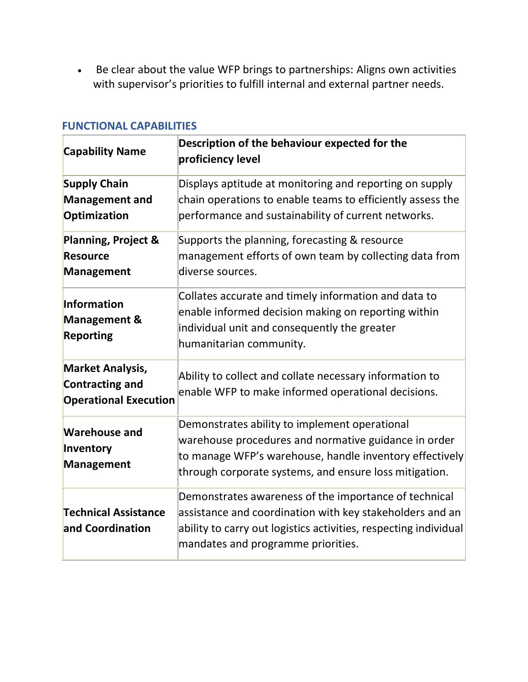• Be clear about the value WFP brings to partnerships: Aligns own activities with supervisor's priorities to fulfill internal and external partner needs.

| <b>Capability Name</b>                                                            | Description of the behaviour expected for the<br>proficiency level                                                                                                                                                          |
|-----------------------------------------------------------------------------------|-----------------------------------------------------------------------------------------------------------------------------------------------------------------------------------------------------------------------------|
| <b>Supply Chain</b><br><b>Management and</b><br>Optimization                      | Displays aptitude at monitoring and reporting on supply<br>chain operations to enable teams to efficiently assess the<br>performance and sustainability of current networks.                                                |
| <b>Planning, Project &amp;</b><br><b>Resource</b><br><b>Management</b>            | Supports the planning, forecasting & resource<br>management efforts of own team by collecting data from<br>diverse sources.                                                                                                 |
| Information<br><b>Management &amp;</b><br><b>Reporting</b>                        | Collates accurate and timely information and data to<br>enable informed decision making on reporting within<br>individual unit and consequently the greater<br>humanitarian community.                                      |
| <b>Market Analysis,</b><br><b>Contracting and</b><br><b>Operational Execution</b> | Ability to collect and collate necessary information to<br>enable WFP to make informed operational decisions.                                                                                                               |
| <b>Warehouse and</b><br>Inventory<br><b>Management</b>                            | Demonstrates ability to implement operational<br>warehouse procedures and normative guidance in order<br>to manage WFP's warehouse, handle inventory effectively<br>through corporate systems, and ensure loss mitigation.  |
| <b>Technical Assistance</b><br>and Coordination                                   | Demonstrates awareness of the importance of technical<br>assistance and coordination with key stakeholders and an<br>ability to carry out logistics activities, respecting individual<br>mandates and programme priorities. |

### **FUNCTIONAL CAPABILITIES**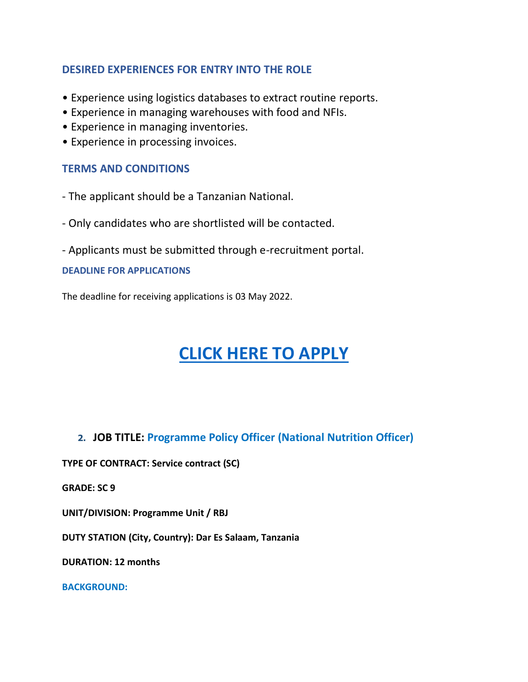# **DESIRED EXPERIENCES FOR ENTRY INTO THE ROLE**

- Experience using logistics databases to extract routine reports.
- Experience in managing warehouses with food and NFIs.
- Experience in managing inventories.
- Experience in processing invoices.

# **TERMS AND CONDITIONS**

- The applicant should be a Tanzanian National.
- Only candidates who are shortlisted will be contacted.
- Applicants must be submitted through e-recruitment portal.

#### **DEADLINE FOR APPLICATIONS**

The deadline for receiving applications is 03 May 2022.

# **[CLICK HERE TO APPLY](https://career5.successfactors.eu/career?company=C0000168410P&career_job_req_id=161452&career_ns=job_listing&navBarLevel=JOB_SEARCH)**

**2. JOB TITLE: Programme Policy Officer (National Nutrition Officer)**

**TYPE OF CONTRACT: Service contract (SC)**

**GRADE: SC 9**

**UNIT/DIVISION: Programme Unit / RBJ** 

**DUTY STATION (City, Country): Dar Es Salaam, Tanzania**

**DURATION: 12 months**

**BACKGROUND:**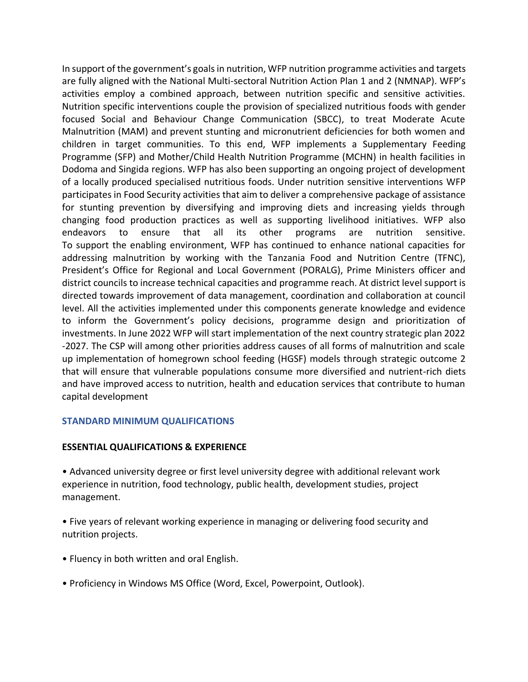In support of the government's goals in nutrition, WFP nutrition programme activities and targets are fully aligned with the National Multi-sectoral Nutrition Action Plan 1 and 2 (NMNAP). WFP's activities employ a combined approach, between nutrition specific and sensitive activities. Nutrition specific interventions couple the provision of specialized nutritious foods with gender focused Social and Behaviour Change Communication (SBCC), to treat Moderate Acute Malnutrition (MAM) and prevent stunting and micronutrient deficiencies for both women and children in target communities. To this end, WFP implements a Supplementary Feeding Programme (SFP) and Mother/Child Health Nutrition Programme (MCHN) in health facilities in Dodoma and Singida regions. WFP has also been supporting an ongoing project of development of a locally produced specialised nutritious foods. Under nutrition sensitive interventions WFP participates in Food Security activities that aim to deliver a comprehensive package of assistance for stunting prevention by diversifying and improving diets and increasing yields through changing food production practices as well as supporting livelihood initiatives. WFP also endeavors to ensure that all its other programs are nutrition sensitive. To support the enabling environment, WFP has continued to enhance national capacities for addressing malnutrition by working with the Tanzania Food and Nutrition Centre (TFNC), President's Office for Regional and Local Government (PORALG), Prime Ministers officer and district councils to increase technical capacities and programme reach. At district level support is directed towards improvement of data management, coordination and collaboration at council level. All the activities implemented under this components generate knowledge and evidence to inform the Government's policy decisions, programme design and prioritization of investments. In June 2022 WFP will start implementation of the next country strategic plan 2022 -2027. The CSP will among other priorities address causes of all forms of malnutrition and scale up implementation of homegrown school feeding (HGSF) models through strategic outcome 2 that will ensure that vulnerable populations consume more diversified and nutrient-rich diets and have improved access to nutrition, health and education services that contribute to human capital development

#### **STANDARD MINIMUM QUALIFICATIONS**

#### **ESSENTIAL QUALIFICATIONS & EXPERIENCE**

• Advanced university degree or first level university degree with additional relevant work experience in nutrition, food technology, public health, development studies, project management.

• Five years of relevant working experience in managing or delivering food security and nutrition projects.

- Fluency in both written and oral English.
- Proficiency in Windows MS Office (Word, Excel, Powerpoint, Outlook).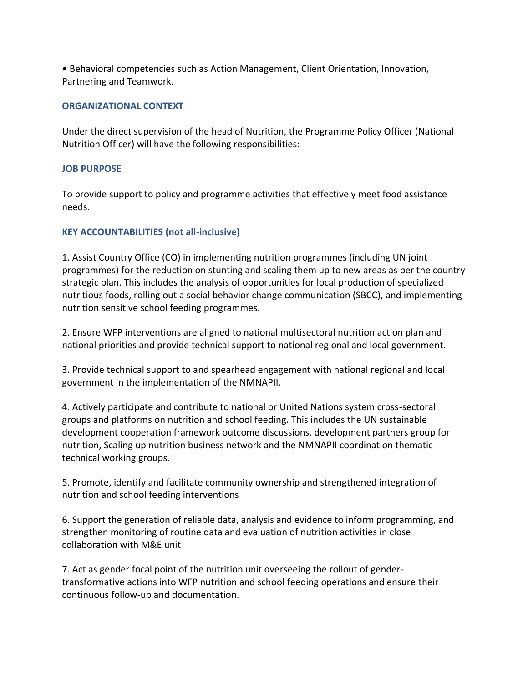• Behavioral competencies such as Action Management, Client Orientation, Innovation, Partnering and Teamwork.

#### **ORGANIZATIONAL CONTEXT**

Under the direct supervision of the head of Nutrition, the Programme Policy Officer (National Nutrition Officer) will have the following responsibilities:

#### **JOB PURPOSE**

To provide support to policy and programme activities that effectively meet food assistance needs.

#### **KEY ACCOUNTABILITIES (not all-inclusive)**

1. Assist Country Office (CO) in implementing nutrition programmes (including UN joint programmes) for the reduction on stunting and scaling them up to new areas as per the country strategic plan. This includes the analysis of opportunities for local production of specialized nutritious foods, rolling out a social behavior change communication (SBCC), and implementing nutrition sensitive school feeding programmes.

2. Ensure WFP interventions are aligned to national multisectoral nutrition action plan and national priorities and provide technical support to national regional and local government.

3. Provide technical support to and spearhead engagement with national regional and local government in the implementation of the NMNAPII.

4. Actively participate and contribute to national or United Nations system cross-sectoral groups and platforms on nutrition and school feeding. This includes the UN sustainable development cooperation framework outcome discussions, development partners group for nutrition, Scaling up nutrition business network and the NMNAPII coordination thematic technical working groups.

5. Promote, identify and facilitate community ownership and strengthened integration of nutrition and school feeding interventions

6. Support the generation of reliable data, analysis and evidence to inform programming, and strengthen monitoring of routine data and evaluation of nutrition activities in close collaboration with M&E unit

7. Act as gender focal point of the nutrition unit overseeing the rollout of gendertransformative actions into WFP nutrition and school feeding operations and ensure their continuous follow-up and documentation.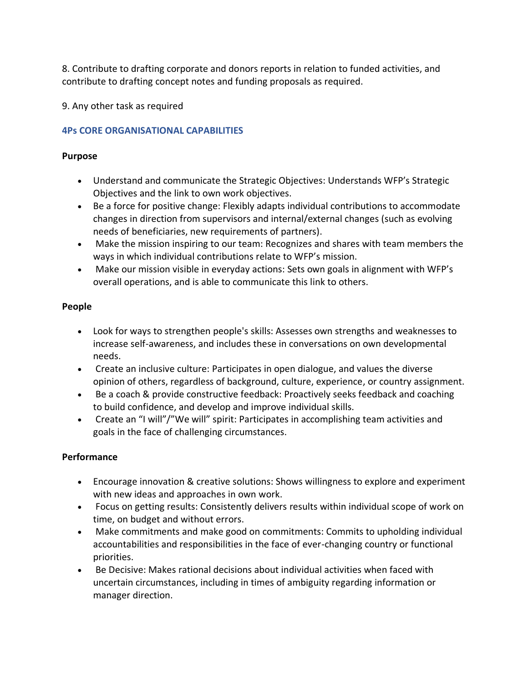8. Contribute to drafting corporate and donors reports in relation to funded activities, and contribute to drafting concept notes and funding proposals as required.

9. Any other task as required

### **4Ps CORE ORGANISATIONAL CAPABILITIES**

#### **Purpose**

- Understand and communicate the Strategic Objectives: Understands WFP's Strategic Objectives and the link to own work objectives.
- Be a force for positive change: Flexibly adapts individual contributions to accommodate changes in direction from supervisors and internal/external changes (such as evolving needs of beneficiaries, new requirements of partners).
- Make the mission inspiring to our team: Recognizes and shares with team members the ways in which individual contributions relate to WFP's mission.
- Make our mission visible in everyday actions: Sets own goals in alignment with WFP's overall operations, and is able to communicate this link to others.

#### **People**

- Look for ways to strengthen people's skills: Assesses own strengths and weaknesses to increase self-awareness, and includes these in conversations on own developmental needs.
- Create an inclusive culture: Participates in open dialogue, and values the diverse opinion of others, regardless of background, culture, experience, or country assignment.
- Be a coach & provide constructive feedback: Proactively seeks feedback and coaching to build confidence, and develop and improve individual skills.
- Create an "I will"/"We will" spirit: Participates in accomplishing team activities and goals in the face of challenging circumstances.

#### **Performance**

- Encourage innovation & creative solutions: Shows willingness to explore and experiment with new ideas and approaches in own work.
- Focus on getting results: Consistently delivers results within individual scope of work on time, on budget and without errors.
- Make commitments and make good on commitments: Commits to upholding individual accountabilities and responsibilities in the face of ever-changing country or functional priorities.
- Be Decisive: Makes rational decisions about individual activities when faced with uncertain circumstances, including in times of ambiguity regarding information or manager direction.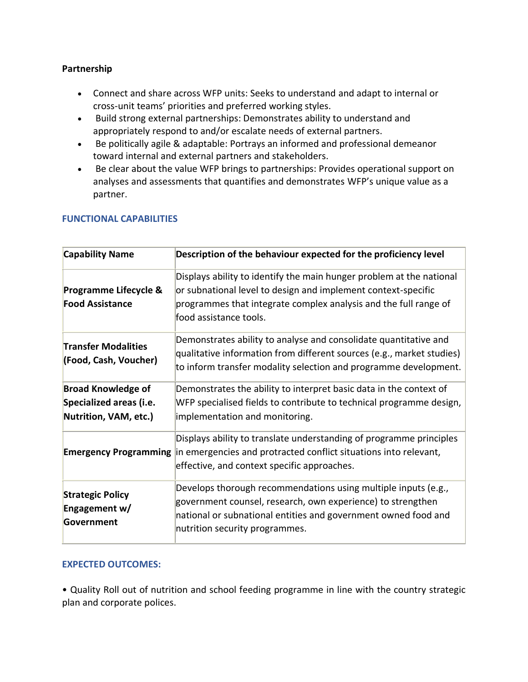#### **Partnership**

- Connect and share across WFP units: Seeks to understand and adapt to internal or cross-unit teams' priorities and preferred working styles.
- Build strong external partnerships: Demonstrates ability to understand and appropriately respond to and/or escalate needs of external partners.
- Be politically agile & adaptable: Portrays an informed and professional demeanor toward internal and external partners and stakeholders.
- Be clear about the value WFP brings to partnerships: Provides operational support on analyses and assessments that quantifies and demonstrates WFP's unique value as a partner.

| <b>Capability Name</b>                                                        | Description of the behaviour expected for the proficiency level                                                                                                                                                                     |
|-------------------------------------------------------------------------------|-------------------------------------------------------------------------------------------------------------------------------------------------------------------------------------------------------------------------------------|
| Programme Lifecycle &<br><b>Food Assistance</b>                               | Displays ability to identify the main hunger problem at the national<br>or subnational level to design and implement context-specific<br>programmes that integrate complex analysis and the full range of<br>food assistance tools. |
| <b>Transfer Modalities</b><br>(Food, Cash, Voucher)                           | Demonstrates ability to analyse and consolidate quantitative and<br>qualitative information from different sources (e.g., market studies)<br>to inform transfer modality selection and programme development.                       |
| <b>Broad Knowledge of</b><br>Specialized areas (i.e.<br>Nutrition, VAM, etc.) | Demonstrates the ability to interpret basic data in the context of<br>WFP specialised fields to contribute to technical programme design,<br>implementation and monitoring.                                                         |
|                                                                               | Displays ability to translate understanding of programme principles<br><b>Emergency Programming</b> in emergencies and protracted conflict situations into relevant,<br>effective, and context specific approaches.                 |
| <b>Strategic Policy</b><br>Engagement w/<br>Government                        | Develops thorough recommendations using multiple inputs (e.g.,<br>government counsel, research, own experience) to strengthen<br>national or subnational entities and government owned food and<br>nutrition security programmes.   |

#### **FUNCTIONAL CAPABILITIES**

#### **EXPECTED OUTCOMES:**

• Quality Roll out of nutrition and school feeding programme in line with the country strategic plan and corporate polices.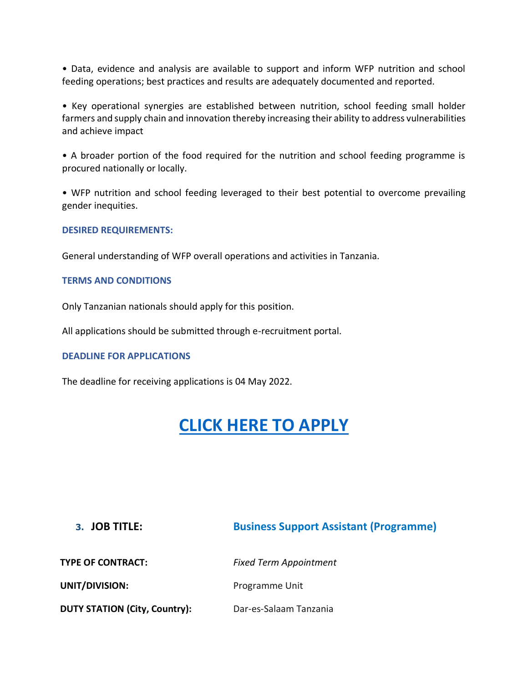• Data, evidence and analysis are available to support and inform WFP nutrition and school feeding operations; best practices and results are adequately documented and reported.

• Key operational synergies are established between nutrition, school feeding small holder farmers and supply chain and innovation thereby increasing their ability to address vulnerabilities and achieve impact

• A broader portion of the food required for the nutrition and school feeding programme is procured nationally or locally.

• WFP nutrition and school feeding leveraged to their best potential to overcome prevailing gender inequities.

#### **DESIRED REQUIREMENTS:**

General understanding of WFP overall operations and activities in Tanzania.

#### **TERMS AND CONDITIONS**

Only Tanzanian nationals should apply for this position.

All applications should be submitted through e-recruitment portal.

#### **DEADLINE FOR APPLICATIONS**

The deadline for receiving applications is 04 May 2022.

# **[CLICK HERE TO APPLY](https://career5.successfactors.eu/career?company=C0000168410P&career_job_req_id=161232&career_ns=job_listing&navBarLevel=JOB_SEARCH)**

| 3. JOB TITLE:                        | <b>Business Support Assistant (Programme)</b> |
|--------------------------------------|-----------------------------------------------|
| <b>TYPE OF CONTRACT:</b>             | <b>Fixed Term Appointment</b>                 |
| UNIT/DIVISION:                       | Programme Unit                                |
| <b>DUTY STATION (City, Country):</b> | Dar-es-Salaam Tanzania                        |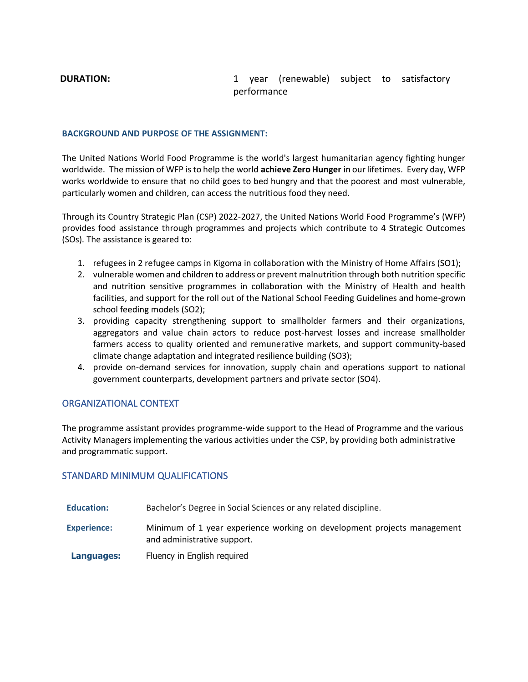#### **DURATION:** 1 year (renewable) subject to satisfactory performance

#### **BACKGROUND AND PURPOSE OF THE ASSIGNMENT:**

The United Nations World Food Programme is the world's largest humanitarian agency fighting hunger worldwide. The mission of WFP is to help the world **achieve Zero Hunger** in our lifetimes. Every day, WFP works worldwide to ensure that no child goes to bed hungry and that the poorest and most vulnerable, particularly women and children, can access the nutritious food they need.

Through its Country Strategic Plan (CSP) 2022-2027, the United Nations World Food Programme's (WFP) provides food assistance through programmes and projects which contribute to 4 Strategic Outcomes (SOs). The assistance is geared to:

- 1. refugees in 2 refugee camps in Kigoma in collaboration with the Ministry of Home Affairs (SO1);
- 2. vulnerable women and children to address or prevent malnutrition through both nutrition specific and nutrition sensitive programmes in collaboration with the Ministry of Health and health facilities, and support for the roll out of the National School Feeding Guidelines and home-grown school feeding models (SO2);
- 3. providing capacity strengthening support to smallholder farmers and their organizations, aggregators and value chain actors to reduce post-harvest losses and increase smallholder farmers access to quality oriented and remunerative markets, and support community-based climate change adaptation and integrated resilience building (SO3);
- 4. provide on-demand services for innovation, supply chain and operations support to national government counterparts, development partners and private sector (SO4).

#### ORGANIZATIONAL CONTEXT

The programme assistant provides programme-wide support to the Head of Programme and the various Activity Managers implementing the various activities under the CSP, by providing both administrative and programmatic support.

#### STANDARD MINIMUM QUALIFICATIONS

| <b>Education:</b>  | Bachelor's Degree in Social Sciences or any related discipline.                                        |
|--------------------|--------------------------------------------------------------------------------------------------------|
| <b>Experience:</b> | Minimum of 1 year experience working on development projects management<br>and administrative support. |
| Languages:         | Fluency in English required                                                                            |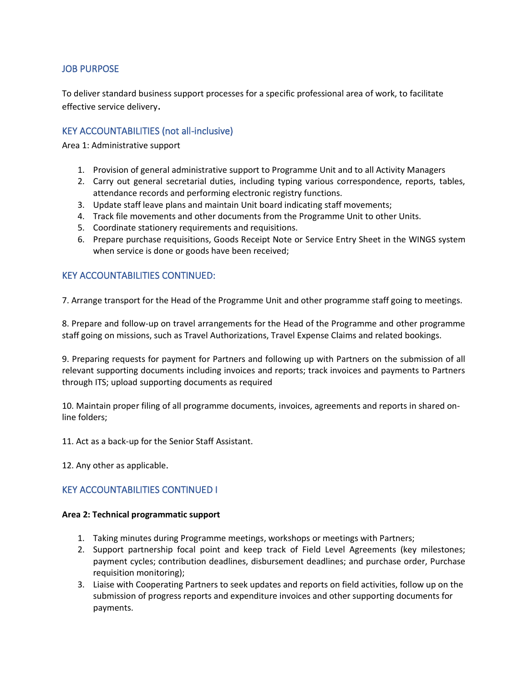#### JOB PURPOSE

To deliver standard business support processes for a specific professional area of work, to facilitate effective service delivery.

#### KEY ACCOUNTABILITIES (not all-inclusive)

Area 1: Administrative support

- 1. Provision of general administrative support to Programme Unit and to all Activity Managers
- 2. Carry out general secretarial duties, including typing various correspondence, reports, tables, attendance records and performing electronic registry functions.
- 3. Update staff leave plans and maintain Unit board indicating staff movements;
- 4. Track file movements and other documents from the Programme Unit to other Units.
- 5. Coordinate stationery requirements and requisitions.
- 6. Prepare purchase requisitions, Goods Receipt Note or Service Entry Sheet in the WINGS system when service is done or goods have been received;

#### KEY ACCOUNTABILITIES CONTINUED:

7. Arrange transport for the Head of the Programme Unit and other programme staff going to meetings.

8. Prepare and follow-up on travel arrangements for the Head of the Programme and other programme staff going on missions, such as Travel Authorizations, Travel Expense Claims and related bookings.

9. Preparing requests for payment for Partners and following up with Partners on the submission of all relevant supporting documents including invoices and reports; track invoices and payments to Partners through ITS; upload supporting documents as required

10. Maintain proper filing of all programme documents, invoices, agreements and reports in shared online folders;

11. Act as a back-up for the Senior Staff Assistant.

12. Any other as applicable.

#### KEY ACCOUNTABILITIES CONTINUED I

#### **Area 2: Technical programmatic support**

- 1. Taking minutes during Programme meetings, workshops or meetings with Partners;
- 2. Support partnership focal point and keep track of Field Level Agreements (key milestones; payment cycles; contribution deadlines, disbursement deadlines; and purchase order, Purchase requisition monitoring);
- 3. Liaise with Cooperating Partners to seek updates and reports on field activities, follow up on the submission of progress reports and expenditure invoices and other supporting documents for payments.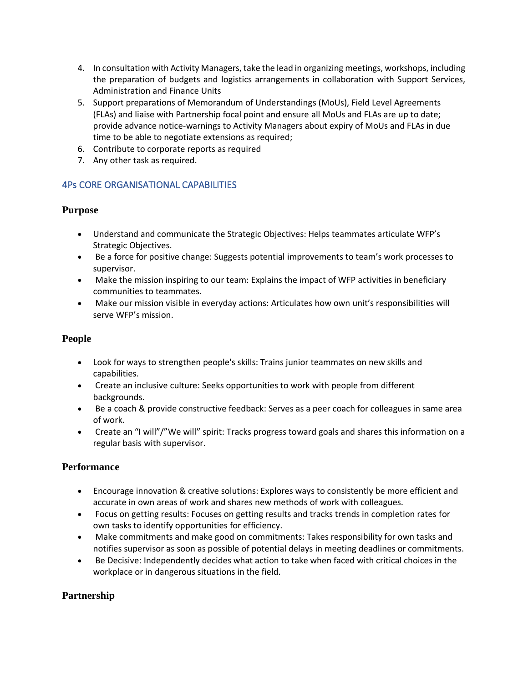- 4. In consultation with Activity Managers, take the lead in organizing meetings, workshops, including the preparation of budgets and logistics arrangements in collaboration with Support Services, Administration and Finance Units
- 5. Support preparations of Memorandum of Understandings (MoUs), Field Level Agreements (FLAs) and liaise with Partnership focal point and ensure all MoUs and FLAs are up to date; provide advance notice-warnings to Activity Managers about expiry of MoUs and FLAs in due time to be able to negotiate extensions as required;
- 6. Contribute to corporate reports as required
- 7. Any other task as required.

### 4Ps CORE ORGANISATIONAL CAPABILITIES

#### **Purpose**

- Understand and communicate the Strategic Objectives: Helps teammates articulate WFP's Strategic Objectives.
- Be a force for positive change: Suggests potential improvements to team's work processes to supervisor.
- Make the mission inspiring to our team: Explains the impact of WFP activities in beneficiary communities to teammates.
- Make our mission visible in everyday actions: Articulates how own unit's responsibilities will serve WFP's mission.

#### **People**

- Look for ways to strengthen people's skills: Trains junior teammates on new skills and capabilities.
- Create an inclusive culture: Seeks opportunities to work with people from different backgrounds.
- Be a coach & provide constructive feedback: Serves as a peer coach for colleagues in same area of work.
- Create an "I will"/"We will" spirit: Tracks progress toward goals and shares this information on a regular basis with supervisor.

#### **Performance**

- Encourage innovation & creative solutions: Explores ways to consistently be more efficient and accurate in own areas of work and shares new methods of work with colleagues.
- Focus on getting results: Focuses on getting results and tracks trends in completion rates for own tasks to identify opportunities for efficiency.
- Make commitments and make good on commitments: Takes responsibility for own tasks and notifies supervisor as soon as possible of potential delays in meeting deadlines or commitments.
- Be Decisive: Independently decides what action to take when faced with critical choices in the workplace or in dangerous situations in the field.

#### **Partnership**